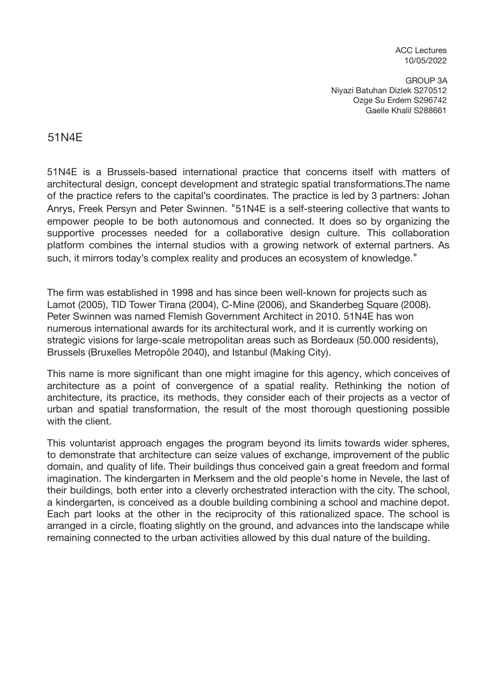ACC Lectures 10/05/2022

GROUP 3A Niyazi Batuhan Dizlek S270512 Ozge Su Erdem S296742 Gaelle Khalil S288661

## 51N4E

51N4E is a Brussels-based international practice that concerns itself with matters of architectural design, concept development and strategic spatial transformations.The name of the practice refers to the capital's coordinates. The practice is led by 3 partners: Johan Anrys, Freek Persyn and Peter Swinnen. "51N4E is a self-steering collective that wants to empower people to be both autonomous and connected. It does so by organizing the supportive processes needed for a collaborative design culture. This collaboration platform combines the internal studios with a growing network of external partners. As such, it mirrors today's complex reality and produces an ecosystem of knowledge."

The firm was established in 1998 and has since been well-known for projects such as Lamot (2005), TID Tower Tirana (2004), C-Mine (2006), and Skanderbeg Square (2008). Peter Swinnen was named Flemish Government Architect in 2010. 51N4E has won numerous international awards for its architectural work, and it is currently working on strategic visions for large-scale metropolitan areas such as Bordeaux (50.000 residents), Brussels (Bruxelles Metropôle 2040), and Istanbul (Making City).

This name is more significant than one might imagine for this agency, which conceives of architecture as a point of convergence of a spatial reality. Rethinking the notion of architecture, its practice, its methods, they consider each of their projects as a vector of urban and spatial transformation, the result of the most thorough questioning possible with the client.

This voluntarist approach engages the program beyond its limits towards wider spheres, to demonstrate that architecture can seize values of exchange, improvement of the public domain, and quality of life. Their buildings thus conceived gain a great freedom and formal imagination. The kindergarten in Merksem and the old people's home in Nevele, the last of their buildings, both enter into a cleverly orchestrated interaction with the city. The school, a kindergarten, is conceived as a double building combining a school and machine depot. Each part looks at the other in the reciprocity of this rationalized space. The school is arranged in a circle, floating slightly on the ground, and advances into the landscape while remaining connected to the urban activities allowed by this dual nature of the building.